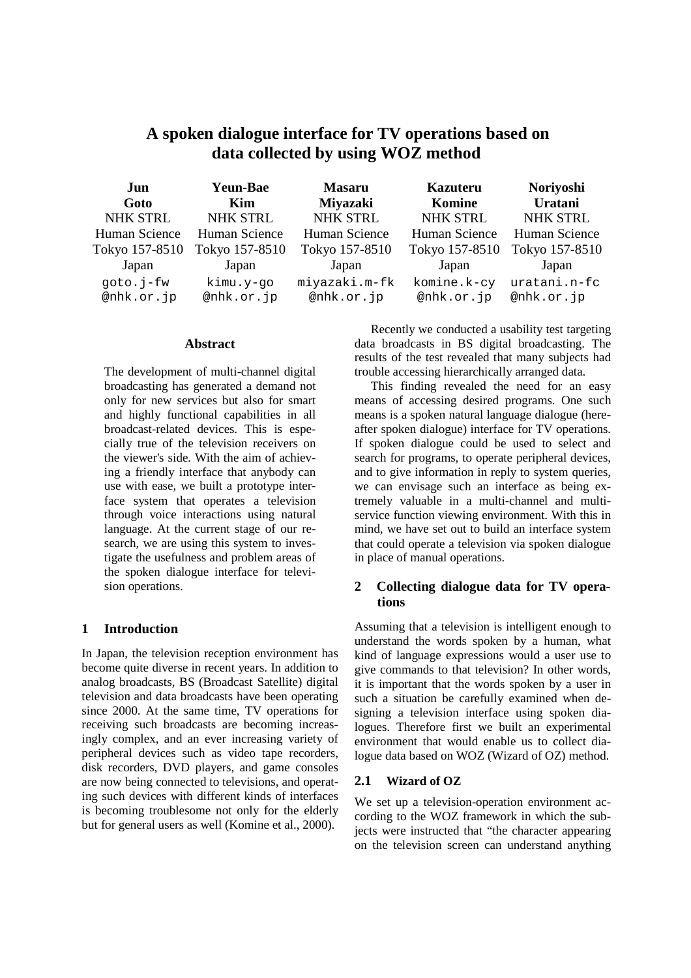# **A spoken dialogue interface for TV operations based on data collected by using WOZ method**

| Jun<br>Goto             | <b>Yeun-Bae</b><br>Kim  | <b>Masaru</b><br><b>Miyazaki</b> | <b>Kazuteru</b><br>Komine | Noriyoshi<br>Uratani       |
|-------------------------|-------------------------|----------------------------------|---------------------------|----------------------------|
| <b>NHK STRL</b>         | <b>NHK STRL</b>         | NHK STRL                         | <b>NHK STRL</b>           | <b>NHK STRL</b>            |
| Human Science           | Human Science           | Human Science                    | Human Science             | Human Science              |
| Tokyo 157-8510          | Tokyo 157-8510          | Tokyo 157-8510                   | Tokyo 157-8510            | Tokyo 157-8510             |
| Japan                   | Japan                   | Japan                            | Japan                     | Japan                      |
| goto.j-fw<br>@nhk.or.jp | kimu.y-go<br>@nhk.or.jp | miyazaki.m-fk<br>@nhk.or.jp      | komine.k-cy<br>@nhk.or.jp | uratani.n-fc<br>@nhk.or.jp |

#### **Abstract**

The development of multi-channel digital broadcasting has generated a demand not only for new services but also for smart and highly functional capabilities in all broadcast-related devices. This is especially true of the television receivers on the viewer's side. With the aim of achieving a friendly interface that anybody can use with ease, we built a prototype interface system that operates a television through voice interactions using natural language. At the current stage of our research, we are using this system to investigate the usefulness and problem areas of the spoken dialogue interface for television operations.

### **1 Introduction**

In Japan, the television reception environment has become quite diverse in recent years. In addition to analog broadcasts, BS (Broadcast Satellite) digital television and data broadcasts have been operating since 2000. At the same time, TV operations for receiving such broadcasts are becoming increasingly complex, and an ever increasing variety of peripheral devices such as video tape recorders, disk recorders, DVD players, and game consoles are now being connected to televisions, and operating such devices with different kinds of interfaces is becoming troublesome not only for the elderly but for general users as well (Komine et al., 2000).

Recently we conducted a usability test targeting data broadcasts in BS digital broadcasting. The results of the test revealed that many subjects had trouble accessing hierarchically arranged data.

This finding revealed the need for an easy means of accessing desired programs. One such means is a spoken natural language dialogue (hereafter spoken dialogue) interface for TV operations. If spoken dialogue could be used to select and search for programs, to operate peripheral devices, and to give information in reply to system queries, we can envisage such an interface as being extremely valuable in a multi-channel and multiservice function viewing environment. With this in mind, we have set out to build an interface system that could operate a television via spoken dialogue in place of manual operations.

# **2 Collecting dialogue data for TV operations**

Assuming that a television is intelligent enough to understand the words spoken by a human, what kind of language expressions would a user use to give commands to that television? In other words, it is important that the words spoken by a user in such a situation be carefully examined when designing a television interface using spoken dialogues. Therefore first we built an experimental environment that would enable us to collect dialogue data based on WOZ (Wizard of OZ) method.

### **2.1 Wizard of OZ**

We set up a television-operation environment according to the WOZ framework in which the subjects were instructed that "the character appearing on the television screen can understand anything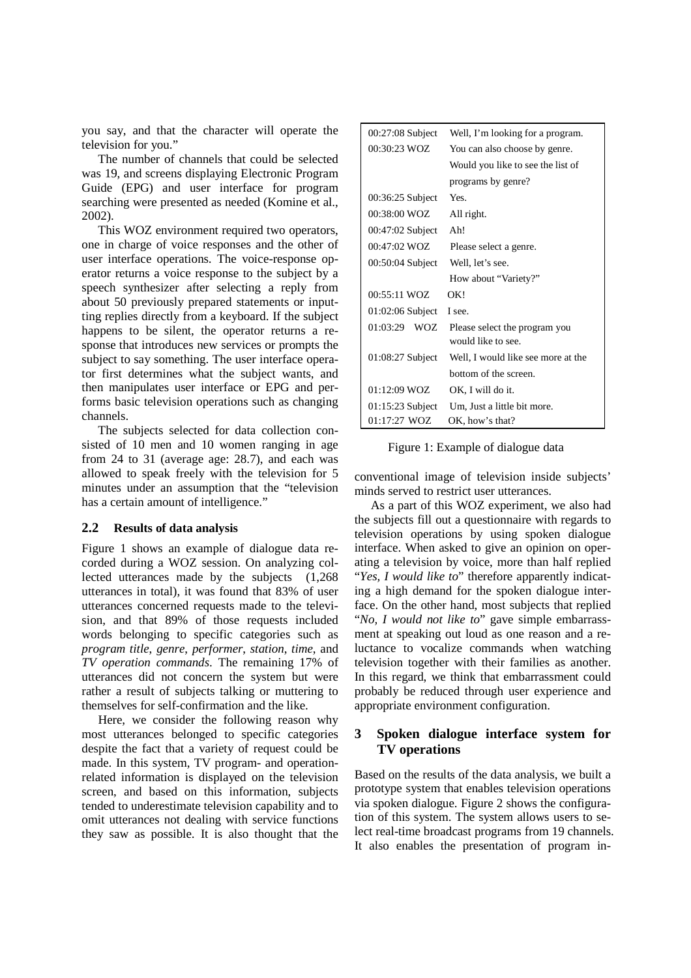you say, and that the character will operate the television for you."

The number of channels that could be selected was 19, and screens displaying Electronic Program Guide (EPG) and user interface for program searching were presented as needed (Komine et al., 2002).

This WOZ environment required two operators, one in charge of voice responses and the other of user interface operations. The voice-response operator returns a voice response to the subject by a speech synthesizer after selecting a reply from about 50 previously prepared statements or inputting replies directly from a keyboard. If the subject happens to be silent, the operator returns a response that introduces new services or prompts the subject to say something. The user interface operator first determines what the subject wants, and then manipulates user interface or EPG and performs basic television operations such as changing channels.

The subjects selected for data collection consisted of 10 men and 10 women ranging in age from 24 to 31 (average age: 28.7), and each was allowed to speak freely with the television for 5 minutes under an assumption that the "television has a certain amount of intelligence."

# **2.2 Results of data analysis**

Figure 1 shows an example of dialogue data recorded during a WOZ session. On analyzing collected utterances made by the subjects (1,268 utterances in total), it was found that 83% of user utterances concerned requests made to the television, and that 89% of those requests included words belonging to specific categories such as *program title*, *genre*, *performer*, *station*, *time*, and *TV operation commands*. The remaining 17% of utterances did not concern the system but were rather a result of subjects talking or muttering to themselves for self-confirmation and the like.

Here, we consider the following reason why most utterances belonged to specific categories despite the fact that a variety of request could be made. In this system, TV program- and operationrelated information is displayed on the television screen, and based on this information, subjects tended to underestimate television capability and to omit utterances not dealing with service functions they saw as possible. It is also thought that the

| $00:27:08$ Subject | Well, I'm looking for a program.   |  |
|--------------------|------------------------------------|--|
| 00:30:23 WOZ       | You can also choose by genre.      |  |
|                    | Would you like to see the list of  |  |
|                    | programs by genre?                 |  |
| $00:36:25$ Subject | Yes.                               |  |
| 00:38:00 WOZ       | All right.                         |  |
| $00:47:02$ Subject | Ah!                                |  |
| $00:47:02$ WOZ     | Please select a genre.             |  |
| 00:50:04 Subject   | Well, let's see.                   |  |
|                    | How about "Variety?"               |  |
|                    |                                    |  |
| $00:55:11$ WOZ     | OK!                                |  |
| $01:02:06$ Subject | I see.                             |  |
| $01:03:29$ WOZ     | Please select the program you      |  |
|                    | would like to see.                 |  |
| $01:08:27$ Subject | Well, I would like see more at the |  |
|                    | bottom of the screen.              |  |
| 01:12:09 WOZ       | OK, I will do it.                  |  |
| $01:15:23$ Subject | Um, Just a little bit more.        |  |

Figure 1: Example of dialogue data

conventional image of television inside subjects' minds served to restrict user utterances.

As a part of this WOZ experiment, we also had the subjects fill out a questionnaire with regards to television operations by using spoken dialogue interface. When asked to give an opinion on operating a television by voice, more than half replied "*Yes, I would like to*" therefore apparently indicating a high demand for the spoken dialogue interface. On the other hand, most subjects that replied "*No, I would not like to*" gave simple embarrassment at speaking out loud as one reason and a reluctance to vocalize commands when watching television together with their families as another. In this regard, we think that embarrassment could probably be reduced through user experience and appropriate environment configuration.

# **3 Spoken dialogue interface system for TV operations**

Based on the results of the data analysis, we built a prototype system that enables television operations via spoken dialogue. Figure 2 shows the configuration of this system. The system allows users to select real-time broadcast programs from 19 channels. It also enables the presentation of program in-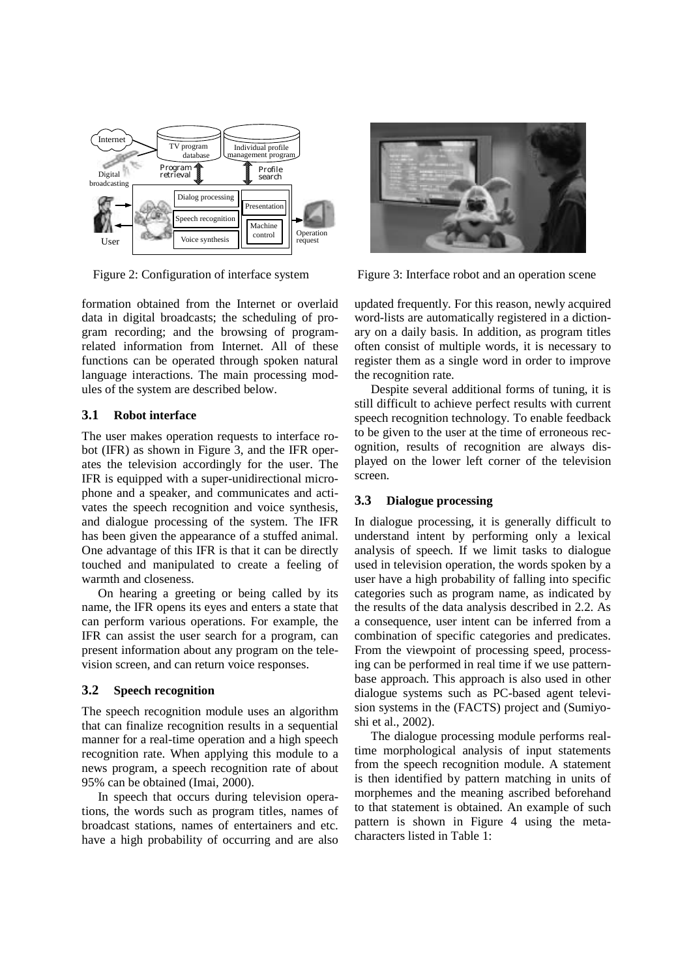

formation obtained from the Internet or overlaid data in digital broadcasts; the scheduling of program recording; and the browsing of programrelated information from Internet. All of these functions can be operated through spoken natural language interactions. The main processing modules of the system are described below.

### **3.1 Robot interface**

The user makes operation requests to interface robot (IFR) as shown in Figure 3, and the IFR operates the television accordingly for the user. The IFR is equipped with a super-unidirectional microphone and a speaker, and communicates and activates the speech recognition and voice synthesis, and dialogue processing of the system. The IFR has been given the appearance of a stuffed animal. One advantage of this IFR is that it can be directly touched and manipulated to create a feeling of warmth and closeness.

On hearing a greeting or being called by its name, the IFR opens its eyes and enters a state that can perform various operations. For example, the IFR can assist the user search for a program, can present information about any program on the television screen, and can return voice responses.

### **3.2 Speech recognition**

The speech recognition module uses an algorithm that can finalize recognition results in a sequential manner for a real-time operation and a high speech recognition rate. When applying this module to a news program, a speech recognition rate of about 95% can be obtained (Imai, 2000).

In speech that occurs during television operations, the words such as program titles, names of broadcast stations, names of entertainers and etc. have a high probability of occurring and are also



Figure 2: Configuration of interface system Figure 3: Interface robot and an operation scene

updated frequently. For this reason, newly acquired word-lists are automatically registered in a dictionary on a daily basis. In addition, as program titles often consist of multiple words, it is necessary to register them as a single word in order to improve the recognition rate.

Despite several additional forms of tuning, it is still difficult to achieve perfect results with current speech recognition technology. To enable feedback to be given to the user at the time of erroneous recognition, results of recognition are always displayed on the lower left corner of the television screen.

# **3.3 Dialogue processing**

In dialogue processing, it is generally difficult to understand intent by performing only a lexical analysis of speech. If we limit tasks to dialogue used in television operation, the words spoken by a user have a high probability of falling into specific categories such as program name, as indicated by the results of the data analysis described in 2.2. As a consequence, user intent can be inferred from a combination of specific categories and predicates. From the viewpoint of processing speed, processing can be performed in real time if we use patternbase approach. This approach is also used in other dialogue systems such as PC-based agent television systems in the (FACTS) project and (Sumiyoshi et al., 2002).

The dialogue processing module performs realtime morphological analysis of input statements from the speech recognition module. A statement is then identified by pattern matching in units of morphemes and the meaning ascribed beforehand to that statement is obtained. An example of such pattern is shown in Figure 4 using the metacharacters listed in Table 1: